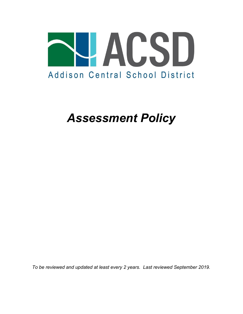

# *Assessment Policy*

*To be reviewed and updated at least every 2 years. Last reviewed September 2019.*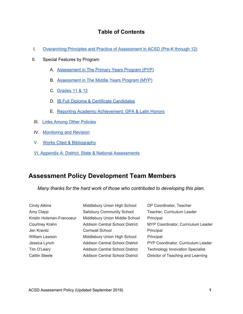### **Table of Contents**

- I. [Overarching](#page-2-0) Principles and Practice of Assessment in ACSD (Pre-K through 12)
- II. Special Features by Program
	- A. [Assessment](#page-5-0) in The Primary Years Program (PYP)
	- B. [Assessment](#page-8-0) in The Middle Years Program (MYP)
	- C. [Grades](#page-11-0) 11 & 12
	- D. IB Full Diploma & Certificate [Candidates](#page-12-0)
	- E. Reporting Academic [Achievement:](#page-14-0) GPA & Latin Honors
- **III.** Links Among Other [Policies](#page-16-0)
- IV. [Monitoring](#page-16-1) and Revision
- V. Works Cited & [Bibliography](#page-18-0)
- VI. Appendix A: District, State & National [Assessments](#page-17-0)

### **Assessment Policy Development Team Members**

*Many thanks for the hard work of those who contributed to developing this plan.*

| Cindy Atkins              | Middlebury Union High School           | DP Coordinator, Teacher                 |
|---------------------------|----------------------------------------|-----------------------------------------|
| Amy Clapp                 | <b>Salisbury Community School</b>      | Teacher, Curriculum Leader              |
| Kristin Holsman-Francoeur | Middlebury Union Middle School         | Principal                               |
| Courtney Krahn            | Addison Central School District        | MYP Coordinator, Curriculum Leader      |
| Jen Kravitz               | Cornwall School                        | Principal                               |
| William Lawson            | Middlebury Union High School           | Principal                               |
| Jessica Lynch             | <b>Addison Central School District</b> | PYP Coordinator, Curriculum Leader      |
| Tim O'Leary               | Addison Central School District        | <b>Technology Innovation Specialist</b> |
| Caitlin Steele            | Addison Central School District        | Director of Teaching and Learning       |
|                           |                                        |                                         |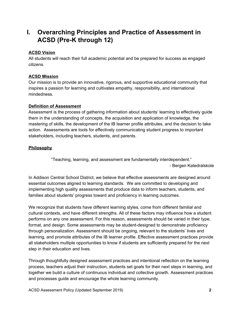## <span id="page-2-0"></span>**I. Overarching Principles and Practice of Assessment in ACSD (Pre-K through 12)**

#### **ACSD Vision**

All students will reach their full academic potential and be prepared for success as engaged citizens.

#### **ACSD Mission**

Our mission is to provide an innovative, rigorous, and supportive educational community that inspires a passion for learning and cultivates empathy, responsibility, and international mindedness.

#### **Definition of Assessment**

Assessment is the process of gathering information about students' learning to effectively guide them in the understanding of concepts, the acquisition and application of knowledge, the mastering of skills, the development of the IB learner profile attributes, and the decision to take action. Assessments are tools for effectively communicating student progress to important stakeholders, including teachers, students, and parents.

#### **Philosophy**

"Teaching, learning, and assessment are fundamentally interdependent." - Bergen Katedralskole

In Addison Central School District, we believe that effective assessments are designed around essential outcomes aligned to learning standards. We are committed to developing and implementing high quality assessments that produce data to inform teachers, students, and families about students' progress toward and proficiency in learning outcomes.

We recognize that students have different learning styles, come from different familial and cultural contexts, and have different strengths. All of these factors may influence how a student performs on any one assessment. For this reason, assessments should be varied in their type, format, and design. Some assessments may be student-designed to demonstrate proficiency through personalization. Assessment should be ongoing, relevant to the students' lives and learning, and promote attributes of the IB learner profile. Effective assessment practices provide all stakeholders multiple opportunities to know if students are sufficiently prepared for the next step in their education and lives.

Through thoughtfully designed assessment practices and intentional reflection on the learning process, teachers adjust their instruction, students set goals for their next steps in learning, and together we build a culture of continuous individual and collective growth. Assessment practices and processes guide and encourage the whole learning community.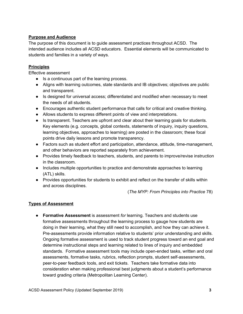#### **Purpose and Audience**

The purpose of this document is to guide assessment practices throughout ACSD. The intended audience includes all ACSD educators. Essential elements will be communicated to students and families in a variety of ways.

#### **Principles**

Effective assessment

- Is a continuous part of the learning process.
- Aligns with learning outcomes, state standards and IB objectives; objectives are public and transparent.
- Is designed for universal access; differentiated and modified when necessary to meet the needs of all students.
- Encourages authentic student performance that calls for critical and creative thinking.
- Allows students to express different points of view and interpretations.
- Is transparent. Teachers are upfront and clear about their learning goals for students. Key elements (e.g. concepts, global contexts, statements of inquiry, inquiry questions, learning objectives, approaches to learning) are posted in the classroom; these focal points drive daily lessons and promote transparency.
- Factors such as student effort and participation, attendance, attitude, time-management, and other behaviors are reported separately from achievement.
- Provides timely feedback to teachers, students, and parents to improve/revise instruction in the classroom.
- Includes multiple opportunities to practice and demonstrate approaches to learning (ATL) skills.
- Provides opportunities for students to exhibit and reflect on the transfer of skills within and across disciplines.

(*The MYP: From Principles into Practice* 78)

#### **Types of Assessment**

**● Formative Assessment** is assessment *for* learning. Teachers and students use formative assessments throughout the learning process to gauge how students are doing in their learning, what they still need to accomplish, and how they can achieve it. Pre-assessments provide information relative to students' prior understanding and skills. Ongoing formative assessment is used to track student progress toward an end goal and determine instructional steps and learning related to lines of inquiry and embedded standards. Formative assessment tools may include open-ended tasks, written and oral assessments, formative tasks, rubrics, reflection prompts, student self-assessments, peer-to-peer feedback tools, and exit tickets. Teachers take formative data into consideration when making professional best judgments about a student's performance toward grading criteria (Metropolitan Learning Center).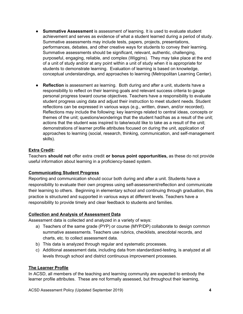- **Summative Assessment** is assessment *of* learning. It is used to evaluate student achievement and serves as evidence of what a student learned during a period of study. Summative assessments may include tests, papers, projects, presentations, performances, debates, and other creative ways for students to convey their learning. Summative assessments should be significant, relevant, authentic, challenging, purposeful, engaging, reliable, and complex (Wiggins). They may take place at the end of a unit of study and/or at any point within a unit of study when it is appropriate for students to demonstrate learning. Evaluation of learning is based on knowledge, conceptual understandings, and approaches to learning (Metropolitan Learning Center).
- **Reflection** is assessment *as* learning. Both during and after a unit, students have a responsibility to reflect on their learning goals and relevant success criteria to gauge personal progress toward course objectives. Teachers have a responsibility to evaluate student progress using data and adjust their instruction to meet student needs. Student reflections can be expressed in various ways (e.g., written, drawn, and/or recorded). Reflections may include the following: key learnings related to central ideas, concepts or themes of the unit; questions/wonderings that the student had/has as a result of the unit; actions that the student was inspired to take/would like to take as a result of the unit; demonstrations of learner profile attributes focused on during the unit, application of approaches to learning (social, research, thinking, communication, and self-management skills).

#### **Extra Credit:**

Teachers **should not** offer extra credit **or bonus point opportunities,** as these do not provide useful information about learning in a proficiency-based system.

#### **Communicating Student Progress**

Reporting and communication should occur both during and after a unit. Students have a responsibility to evaluate their own progress using self-assessment/reflection and communicate their learning to others. Beginning in elementary school and continuing through graduation, this practice is structured and supported in various ways at different levels. Teachers have a responsibility to provide timely and clear feedback to students and families.

#### **Collection and Analysis of Assessment Data**

Assessment data is collected and analyzed in a variety of ways:

- a) Teachers of the same grade (PYP) or course (MYP/DP) collaborate to design common summative assessments. Teachers use rubrics, checklists, anecdotal records, and charts, etc. to collect assessment data.
- b) This data is analyzed through regular and systematic processes.
- c) Additional assessment data, including data from standardized-testing, is analyzed at all levels through school and district continuous improvement processes.

#### **The Learner Profile**

In ACSD, all members of the teaching and learning community are expected to embody the learner profile attributes. These are not formally assessed, but throughout their learning,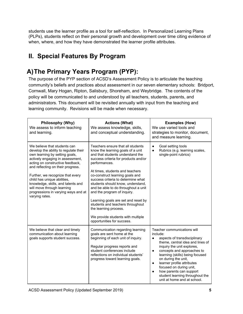students use the learner profile as a tool for self-reflection. In Personalized Learning Plans (PLPs), students reflect on their personal growth and development over time citing evidence of when, where, and how they have demonstrated the learner profile attributes.

# **II. Special Features By Program**

# <span id="page-5-0"></span>**A)The Primary Years Program (PYP):**

The purpose of the PYP section of ACSD's Assessment Policy is to articulate the teaching community's beliefs and practices about assessment in our seven elementary schools: Bridport, Cornwall, Mary Hogan, Ripton, Salisbury, Shoreham, and Weybridge. The contents of the policy will be communicated to and understood by all teachers, students, parents, and administrators. This document will be revisited annually with input from the teaching and learning community. Revisions will be made when necessary.

| Philosophy (Why)<br>We assess to inform teaching<br>and learning.                                                                                                                                                                                                                                                                                                                                                    | <b>Actions (What)</b><br>We assess knowledge, skills,<br>and conceptual understanding.                                                                                                                                                                                                                                                                                                                                                                                                                                                                            | <b>Examples (How)</b><br>We use varied tools and<br>strategies to monitor, document,<br>and measure learning.                                                                                                                                                                                                                                                                                                                               |
|----------------------------------------------------------------------------------------------------------------------------------------------------------------------------------------------------------------------------------------------------------------------------------------------------------------------------------------------------------------------------------------------------------------------|-------------------------------------------------------------------------------------------------------------------------------------------------------------------------------------------------------------------------------------------------------------------------------------------------------------------------------------------------------------------------------------------------------------------------------------------------------------------------------------------------------------------------------------------------------------------|---------------------------------------------------------------------------------------------------------------------------------------------------------------------------------------------------------------------------------------------------------------------------------------------------------------------------------------------------------------------------------------------------------------------------------------------|
| We believe that students can<br>develop the ability to regulate their<br>own learning by setting goals,<br>actively engaging in assessment,<br>acting on constructive feedback,<br>and reflecting on their progress.<br>Further, we recognize that every<br>child has unique abilities,<br>knowledge, skills, and talents and<br>will move through learning<br>progressions in varying ways and at<br>varying rates. | Teachers ensure that all students<br>know the learning goals of a unit<br>and that students understand the<br>success criteria for products and/or<br>performances.<br>At times, students and teachers<br>co-construct learning goals and<br>success criteria to determine what<br>students should know, understand,<br>and be able to do throughout a unit<br>and the program of inquiry.<br>Learning goals are set and reset by<br>students and teachers throughout<br>the learning process.<br>We provide students with multiple<br>opportunities for success. | Goal setting tools<br>$\bullet$<br>Rubrics (e.g. learning scales,<br>$\bullet$<br>single-point rubrics)                                                                                                                                                                                                                                                                                                                                     |
| We believe that clear and timely<br>communication about learning<br>goals supports student success.                                                                                                                                                                                                                                                                                                                  | Communication regarding learning<br>goals are sent home at the<br>beginning of each unit of inquiry.<br>Regular progress reports and<br>student conferences include<br>reflections on individual students'<br>progress toward learning goals.                                                                                                                                                                                                                                                                                                                     | Teacher communications will<br>include:<br>aspects of transdisciplinary<br>$\bullet$<br>theme, central idea and lines of<br>inquiry the unit explores,<br>concepts and approaches to<br>$\bullet$<br>learning (skills) being focused<br>on during the unit,<br>learner profile attributes<br>$\bullet$<br>focused on during unit,<br>how parents can support<br>$\bullet$<br>student learning throughout the<br>unit at home and at school. |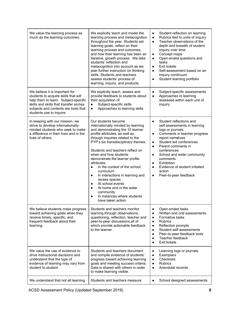| We value the learning process as<br>much as the learning outcomes.                                                                                                                                                           | We explicitly teach and model the<br>learning process and metacognition<br>throughout the year. Students set<br>learning goals, reflect on their<br>learning process and outcomes,<br>and how their learning has been an<br>iterative, growth process. We take<br>students' reflection and<br>metacognition into account as we<br>plan further instruction on thinking<br>skills. Students and teachers<br>assess students' process of<br>learning, inquiry, and products.                                                                                                                       | Student reflection on learning<br>$\bullet$<br>Rubrics tied to units of inquiry<br>$\bullet$<br>Teacher observations of the<br>$\bullet$<br>depth and breadth of student<br>inquiry over time<br>Concept maps<br>$\bullet$<br>Open-ended questions and<br>$\bullet$<br>tasks<br><b>Exit tickets</b><br>$\bullet$<br>Self-assessment based on an<br>$\bullet$<br>inquiry continuum<br>Student learning portfolio<br>$\bullet$         |
|------------------------------------------------------------------------------------------------------------------------------------------------------------------------------------------------------------------------------|--------------------------------------------------------------------------------------------------------------------------------------------------------------------------------------------------------------------------------------------------------------------------------------------------------------------------------------------------------------------------------------------------------------------------------------------------------------------------------------------------------------------------------------------------------------------------------------------------|--------------------------------------------------------------------------------------------------------------------------------------------------------------------------------------------------------------------------------------------------------------------------------------------------------------------------------------------------------------------------------------------------------------------------------------|
| We believe it is important for<br>students to acquire skills that will<br>help them to learn. Subject-specific<br>skills and skills that transfer across<br>subjects and contexts are tools that<br>students use to inquire. | We explicitly teach, assess and<br>provide feedback to students about<br>their acquisition of<br>Subject-specific skills<br>$\bullet$<br>Approaches to learning skills<br>$\bullet$                                                                                                                                                                                                                                                                                                                                                                                                              | Subject-specific assessments<br>$\bullet$<br>Approaches to learning<br>$\bullet$<br>assessed within each unit of<br>inquiry                                                                                                                                                                                                                                                                                                          |
| In keeping with our mission, we<br>strive to develop internationally-<br>minded students who seek to make<br>a difference in their lives and in the<br>lives of others.                                                      | Our students become<br>internationally minded by learning<br>and demonstrating the 10 learner<br>profile attributes, as well as,<br>through inquiries related to the<br>PYP's six transdisciplinary themes.<br>Students and teachers reflect on<br>when and how students<br>demonstrate the learner profile<br>attributes<br>In the context of the school<br>curriculum<br>In interactions in learning and<br>$\bullet$<br>recess spaces<br>At school events<br>$\bullet$<br>At home and in the wider<br>$\bullet$<br>community<br>In instances where students<br>$\bullet$<br>have taken action | Student reflections and<br>$\bullet$<br>self-assessments in learning<br>logs or journals<br>Comments in teacher progress<br>$\bullet$<br>report narratives<br>Student led conferences<br>$\bullet$<br>Parent comments in<br>$\bullet$<br>conferences<br>School and wider community<br>$\bullet$<br>comments<br>Exhibition<br>$\bullet$<br>Evidence of student initiated<br>$\bullet$<br>action<br>Peer-to-peer feedback<br>$\bullet$ |
| We believe students make progress<br>toward achieving goals when they<br>receive timely, specific, and<br>frequent feedback about their<br>learning.                                                                         | Students and teachers monitor<br>learning through observations,<br>questioning, reflection, teacher and<br>peer-to-peer discussions, all of<br>which provide actionable feedback<br>to the learner.                                                                                                                                                                                                                                                                                                                                                                                              | Open-ended tasks<br>٠<br>Written and oral assessments<br>$\bullet$<br>Formative tasks<br>$\bullet$<br><b>Rubrics</b><br>$\bullet$<br>Reflection prompts<br>٠<br>Student self-assessments<br>$\bullet$<br>Peer-to-peer feedback tools<br>$\bullet$<br>Teacher feedback<br>٠<br><b>Exit tickets</b><br>$\bullet$                                                                                                                       |
| We value the use of evidence to<br>drive instructional decisions and<br>understand that the type of<br>evidence of learning may vary from<br>student to student.                                                             | Students and teachers document<br>and compile evidence of students'<br>progress toward achieving learning<br>goals and meeting success criteria.<br>Data is shared with others in order<br>to make learning visible.                                                                                                                                                                                                                                                                                                                                                                             | Learning logs or journals<br>٠<br>Exemplars<br>$\bullet$<br>Checklists<br>٠<br><b>Rubrics</b><br>$\bullet$<br>Anecdotal records<br>$\bullet$                                                                                                                                                                                                                                                                                         |
| We understand that not all learning                                                                                                                                                                                          | Students and teachers measure                                                                                                                                                                                                                                                                                                                                                                                                                                                                                                                                                                    | School designed assessments<br>٠                                                                                                                                                                                                                                                                                                                                                                                                     |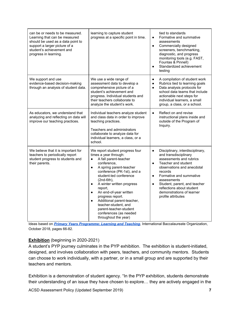| can be or needs to be measured.<br>Learning that can be measured<br>should be used as a data point to<br>support a larger picture of a<br>student's achievement and<br>progress in learning. | learning to capture student<br>progress at a specific point in time.                                                                                                                                                                                                                                                                                                                                                                                                          | tied to standards<br>Formative and summative<br>$\bullet$<br>assessments<br>Commercially designed<br>$\bullet$<br>screeners, benchmarking,<br>diagnostic, and progress<br>monitoring tools (e.g. FAST,<br>Fountas & Pinnell)<br>Standardized achievement<br>testing                                                                                                |
|----------------------------------------------------------------------------------------------------------------------------------------------------------------------------------------------|-------------------------------------------------------------------------------------------------------------------------------------------------------------------------------------------------------------------------------------------------------------------------------------------------------------------------------------------------------------------------------------------------------------------------------------------------------------------------------|--------------------------------------------------------------------------------------------------------------------------------------------------------------------------------------------------------------------------------------------------------------------------------------------------------------------------------------------------------------------|
| We support and use<br>evidence-based decision-making<br>through an analysis of student data.                                                                                                 | We use a wide range of<br>assessment data to develop a<br>comprehensive picture of a<br>student's achievement and<br>progress. Individual students and<br>their teachers collaborate to<br>analyze the student's work.                                                                                                                                                                                                                                                        | A compilation of student work<br>$\bullet$<br>Rubrics tied to learning goals<br>$\bullet$<br>Data analysis protocols for<br>$\bullet$<br>school data teams that include<br>actionable next steps for<br>individual learners, a small<br>group, a class, or a school.                                                                                               |
| As educators, we understand that<br>analyzing and reflecting on data will<br>improve our teaching practices.                                                                                 | Individual teachers analyze student<br>and class data in order to improve<br>teaching practices.<br>Teachers and administrators<br>collaborate to analyze data for<br>individual learners, a class, or a<br>school.                                                                                                                                                                                                                                                           | Reflect on and revise<br>$\bullet$<br>instructional plans inside and<br>outside of the Program of<br>Inquiry.                                                                                                                                                                                                                                                      |
| We believe that it is important for<br>teachers to periodically report<br>student progress to students and<br>their parents.                                                                 | We report student progress four<br>times a year through:<br>A fall parent-teacher<br>$\bullet$<br>conference,<br>A spring parent-teacher<br>$\bullet$<br>conference (PK-1st), and a<br>student-led conference<br>(2nd-6th),<br>A winter written progress<br>$\bullet$<br>report,<br>An end-of-year written<br>$\bullet$<br>progress report.<br>Additional parent-teacher,<br>teacher-student, and<br>parent-teacher-student<br>conferences (as needed<br>throughout the year) | Disciplinary, interdisciplinary,<br>$\bullet$<br>and transdisciplinary<br>assessments and rubrics<br>Teacher and student<br>$\bullet$<br>observations and anecdotal<br>records<br>Formative and summative<br>$\bullet$<br>assessments<br>Student, parent, and teacher<br>$\bullet$<br>reflections about student<br>demonstrations of learner<br>profile attributes |

Ideas based on *[Primary Years Programme: Learning and Teaching](https://resources.ibo.org/data/learning-and-teaching_899fc563-3f16-4ad6-89c7-f60983c9d6d3/PRC-Learning_and_teaching-1-WEB_bffd8f20-78b3-4d6e-83dc-7255d1bf1c29.pdf)*, International Baccalaureate Organization, October 2018, pages 66-82.

#### **Exhibition** (beginning in 2020-2021)

A student's PYP journey culminates in the PYP exhibition. The exhibition is student-initiated, designed, and involves collaboration with peers, teachers, and community mentors. Students can choose to work individually, with a partner, or in a small group and are supported by their teachers and mentors.

Exhibition is a demonstration of student agency. "In the PYP exhibition, students demonstrate their understanding of an issue they have chosen to explore… they are actively engaged in the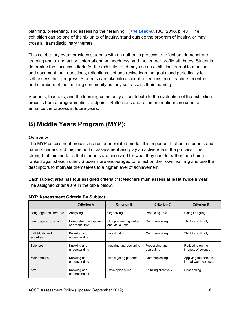planning, presenting, and assessing their learning." (*The [Learner](https://resources.ibo.org/data/the-learner_fc17a71a-2344-4b26-84cb-caca3a02750d/PRC-The_learner-WEB_d32875a1-8611-4de3-9f7d-14a22127adc2.pdf?c=c54da21d)*, IBO, 2018, p. 40). The exhibition can be one of the six units of inquiry, stand outside the program of inquiry, or may cross all transdisciplinary themes.

This celebratory event provides students with an authentic process to reflect on, demonstrate learning and taking action, international-mindedness, and the learner profile attributes. Students determine the success criteria for the exhibition and may use an exhibition journal to monitor and document their questions, reflections, set and revise learning goals, and periodically to self-assess their progress. Students can take into account reflections from teachers, mentors, and members of the learning community as they self-assess their learning.

Students, teachers, and the learning community all contribute to the evaluation of the exhibition process from a programmatic standpoint. Reflections and recommendations are used to enhance the process in future years.

# <span id="page-8-0"></span>**B) Middle Years Program (MYP):**

#### **Overview**

The MYP assessment process is a criterion-related model. It is important that both students and parents understand this method of assessment and play an active role in the process. The strength of this model is that students are assessed for what they can do, rather than being ranked against each other. Students are encouraged to reflect on their own learning and use the descriptors to motivate themselves to a higher level of achievement.

Each subject area has four assigned criteria that teachers must assess **at least twice a year**. The assigned criteria are in the table below.

|                              | <b>Criterion A</b>                      | <b>Criterion B</b>                       | <b>Criterion C</b>           | <b>Criterion D</b>                             |
|------------------------------|-----------------------------------------|------------------------------------------|------------------------------|------------------------------------------------|
| Language and literature      | Analyzing                               | Organizing                               | <b>Producing Text</b>        | Using Language                                 |
| Language acquisition         | Comprehending spoken<br>and visual text | Comprehending written<br>and visual text | Communicating                | Thinking critically                            |
| Individuals and<br>societies | Knowing and<br>understanding            | Investigating                            | Communicating                | Thinking critically                            |
| Sciences                     | Knowing and<br>understanding            | Inquiring and designing                  | Processing and<br>evaluating | Reflecting on the<br>impacts of science        |
| <b>Mathematics</b>           | Knowing and<br>understanding            | Investigating patterns                   | Communicating                | Applying mathematics<br>in real-world contexts |
| Arts                         | Knowing and<br>understanding            | Developing skills                        | Thinking creatively          | Responding                                     |

#### **MYP Assessment Criteria By Subject:**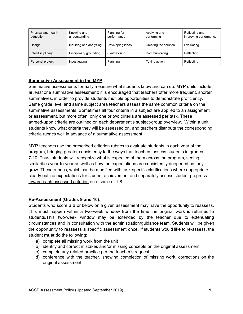| Physical and health<br>education | Knowing and<br>understanding | Planning for<br>performance | Applying and<br>performing | Reflecting and<br>improving performance |
|----------------------------------|------------------------------|-----------------------------|----------------------------|-----------------------------------------|
| Design                           | Inquiring and analyzing      | Developing ideas            | Creating the solution      | Evaluating                              |
| Interdisciplinary                | Disciplinary grounding       | Synthesising                | Communicating              | Reflecting                              |
| Personal project                 | Investigating                | Planning                    | Taking action              | Reflecting                              |

#### **Summative Assessment in the MYP**

Summative assessments formally measure what students know and can do. MYP units include *at least* one summative assessment; it is encouraged that teachers offer more frequent, shorter summatives, in order to provide students multiple opportunities to demonstrate proficiency. Same grade level and same subject area teachers assess the same common criteria on the summative assessments. Sometimes all four criteria in a subject are applied to an assignment or assessment, but more often, only one or two criteria are assessed per task. These agreed-upon criteria are outlined on each department's subject-group overview. Within a unit, students know what criteria they will be assessed on, and teachers distribute the corresponding criteria rubrics well in advance of a summative assessment.

MYP teachers use the prescribed criterion rubrics to evaluate students in each year of the program, bringing greater consistency to the ways that teachers assess students in grades 7-10. Thus, students will recognize what is expected of them across the program, seeing similarities year-to-year as well as how the expectations are consistently deepened as they grow. These rubrics, which can be modified with task-specific clarifications where appropriate, clearly outline expectations for student achievement and separately assess student progress toward each assessed criterion on a scale of 1-8.

#### **Re-Assessment (Grades 9 and 10):**

Students who score a 3 or below on a given assessment may have the opportunity to reassess. This must happen within a two-week window from the time the original work is returned to students.This two-week window may be extended by the teacher due to extenuating circumstances and in consultation with the administration/guidance team. Students will be given the opportunity to reassess a specific assessment once. If students would like to re-assess, the student **must** do the following:

- a) complete all missing work from the unit
- b) identify and correct mistakes and/or missing concepts on the original assessment
- c) complete any related practice per the teacher's request
- d) conference with the teacher, showing completion of missing work, corrections on the original assessment.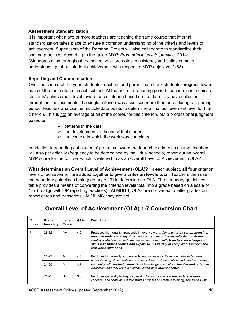#### **Assessment Standardization**

It is important when two or more teachers are teaching the same course that internal standardization takes place to ensure a common understanding of the criteria and levels of achievement. Supervisors of the Personal Project will also collaborate to standardize their scoring practices. According to the guide *MYP: From principles into practice,* 2014: "Standardization throughout the school year promotes consistency and builds common understandings about student achievement with respect to MYP objectives" (83).

#### **Reporting and Communication**

Over the course of the year, students, teachers and parents can track students' progress toward each of the four criteria in each subject. At the end of a reporting period, teachers communicate students' achievement level toward each criterion based on the data they have collected through unit assessments. If a single criterion was assessed more than once during a reporting period, teachers analyze the multiple data points to determine a final achievement level for that criterion. This is not an average of all of the scores for this criterion, but a professional judgment based on:

- $\triangleright$  patterns in the data
- $\triangleright$  the development of the individual student
- $\geq$  the context in which the work was completed

In addition to reporting out students' progress toward the four criteria in each course, teachers will also periodically (frequency to be determined by individual schools) report out an overall MYP score for the course, which is referred to as an Overall Level of Achievement (OLA)\*.

**What determines an Overall Level of Achievement (OLA)?** In each subject, **all four** criterion levels of achievement are added together to give a **criterion levels total.** Teachers then use the boundary guidelines table (see page 13) to determine an OLA. The boundary guidelines table provides a means of converting the criterion levels total into a grade based on a scale of 1–7 (to align with DP reporting practices). At MUHS, OLAs are converted to letter grades on report cards and transcripts. At MUMS, they are not.

### **Overall Level of Achievement (OLA) 1-7 Conversion Chart**

| IB<br><b>Score</b> | Grade<br>boundary | Letter<br>Grade | <b>GPA</b> | <b>Descriptor</b>                                                                                                                                                                                                                                                                                                                                         |
|--------------------|-------------------|-----------------|------------|-----------------------------------------------------------------------------------------------------------------------------------------------------------------------------------------------------------------------------------------------------------------------------------------------------------------------------------------------------------|
|                    | 28-32             | $A+$            | 4.0        | Produces high-quality, frequently innovative work. Communicates comprehensive,<br>nuanced understanding of concepts and contexts. Consistently demonstrates<br>sophisticated critical and creative thinking. Frequently transfers knowledge and<br>skills with independence and expertise in a variety of complex classroom and<br>real-world situations. |
| 6                  | 26-27             | A               | 4.0        | Produces high-quality, occasionally innovative work. Communicates extensive<br>understanding of concepts and contexts. Demonstrates critical and creative thinking.                                                                                                                                                                                       |
|                    | $24 - 25$         | A-              | 3.7        | frequently with sophistication. Uses knowledge and skills in familiar and unfamiliar<br>classroom and real world situations, often with independence.                                                                                                                                                                                                     |
|                    | $21 - 23$         | $B+$            | 3.3        | Produces generally high-quality work. Communicates secure understanding of<br>concepts and contexts. Demonstrates critical and creative thinking, sometimes with                                                                                                                                                                                          |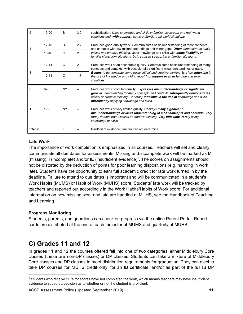| 5 | $19-20$   | <sub>R</sub> | 3.0 | sophistication. Uses knowledge and skills in familiar classroom and real-world<br>situations and, with support, some unfamiliar real-world situations.                                                                                                                                                    |
|---|-----------|--------------|-----|-----------------------------------------------------------------------------------------------------------------------------------------------------------------------------------------------------------------------------------------------------------------------------------------------------------|
| 4 | $17-18$   | $B -$        | 2.7 | Produces good-quality work. Communicates basic understanding of most concepts<br>and contexts with few misunderstandings and minor gaps. Often demonstrates basic                                                                                                                                         |
|   | $15 - 16$ | $C+$         | 2.3 | critical and creative thinking. Uses knowledge and skills with some flexibility in<br>familiar classroom situations, but requires support in unfamiliar situations.                                                                                                                                       |
|   | $12 - 14$ | C            | 2.0 | Produces work of an acceptable quality. Communicates basic understanding of many<br>concepts and contexts, with occasionally significant misunderstandings or gaps.                                                                                                                                       |
| 3 | $10 - 11$ | $C -$        | 1.7 | Begins to demonstrate some basic critical and creative thinking. Is often inflexible in<br>the use of knowledge and skills, requiring support even in familiar classroom<br>situations.                                                                                                                   |
| 2 | $6-9$     | NY.          |     | Produces work of limited quality. Expresses misunderstandings or significant<br>gaps in understanding for many concepts and contexts. Infrequently demonstrates<br>critical or creative thinking. Generally inflexible in the use of knowledge and skills,<br>infrequently applying knowledge and skills. |
|   | $1 - 5$   | <b>NY</b>    |     | Produces work of very limited quality. Conveys many significant                                                                                                                                                                                                                                           |
|   |           |              |     | misunderstandings or lacks understanding of most concepts and contexts. Very<br>rarely demonstrates critical or creative thinking. Very inflexible, rarely using<br>knowledge or skills.                                                                                                                  |

#### **Late Work**

The importance of work completion is emphasized in all courses. Teachers will set and clearly communicate all due dates for assessments. Missing and incomplete work will be marked as M (missing), I (incomplete) and/or IE (insufficient evidence)<sup>1</sup>. The scores on assignments should not be distorted by the deduction of points for poor learning dispositions (e.g. handing in work late). Students have the opportunity to earn full academic credit for late work turned in by the deadline. Failure to attend to due dates is important and will be communicated in a student's Work Habits (MUMS) or Habit of Work (MUHS) score. Students' late work will be tracked by teachers and reported out accordingly in the Work Habits/Habits of Work score. For additional information on how missing work and late are handled at MUHS, see the Handbook of Teaching and Learning.

#### **Progress Monitoring**

Students, parents, and guardians can check on progress via the online Parent Portal. Report cards are distributed at the end of each trimester at MUMS and quarterly at MUHS.

### <span id="page-11-0"></span>**C) Grades 11 and 12**

In grades 11 and 12 the courses offered fall into one of two categories, either Middlebury Core classes (these are non-DP classes) or DP classes. Students can take a mixture of Middlebury Core classes and DP classes to meet distribution requirements for graduation. They can elect to take DP courses for MUHS credit only, for an IB certificate, and/or as part of the full IB DP

<sup>1</sup> Students who receive "IE"s for scores have not completed the work, which means teachers may have insufficient evidence to support a decision as to whether or not the student is proficient.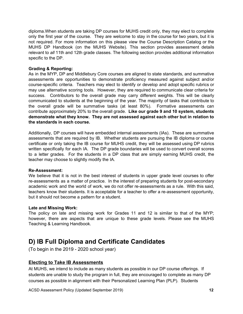diploma.When students are taking DP courses for MUHS credit only, they may elect to complete only the first year of the course. They are welcome to stay in the course for two years, but it is not required. For more information on this please view the Course Description Catalog or the MUHS DP Handbook (on the MUHS Website). This section provides assessment details relevant to *all* 11th and 12th grade classes. The following section provides additional information specific to the DP.

#### **Grading & Reporting:**

As in the MYP, DP and Middlebury Core courses are aligned to state standards, and summative assessments are opportunities to demonstrate proficiency measured against subject and/or course-specific criteria. Teachers may elect to identify or develop and adopt specific rubrics or may use alternative scoring tools. However, they are required to communicate clear criteria for success. Contributors to the overall grade may carry different weights. This will be clearly communicated to students at the beginning of the year. The majority of tasks that contribute to the overall grade will be summative tasks (at least 80%). Formative assessments can contribute approximately 20% to the overall grade. **Like our grade 9 and 10 system, students demonstrate what they know. They are not assessed against each other but in relation to the standards in each course.**

Additionally, DP courses will have embedded internal assessments (IAs). These are summative assessments that are required by IB. Whether students are pursuing the IB diploma or course certificate or only taking the IB course for MUHS credit, they will be assessed using DP rubrics written specifically for each IA. The DP grade boundaries will be used to convert overall scores to a letter grades. For the students in a DP class that are simply earning MUHS credit, the teacher may choose to slightly modify the IA.

#### **Re-Assessment:**

We believe that it is not in the best interest of students in upper grade level courses to offer re-assessments as a matter of practice. In the interest of preparing students for post-secondary academic work and the world of work, we do not offer re-assessments as a rule. With this said, teachers know their students. It is acceptable for a teacher to offer a re-assessment opportunity, but it should not become a pattern for a student.

#### **Late and Missing Work:**

The policy on late and missing work for Grades 11 and 12 is similar to that of the MYP; however, there are aspects that are unique to these grade levels. Please see the MUHS Teaching & Learning Handbook.

### <span id="page-12-0"></span>**D) IB Full Diploma and Certificate Candidates**

(To begin in the 2019 - 2020 school year)

#### **Electing to Take IB Assessments**

At MUHS, we intend to include as many students as possible in our DP course offerings. If students are unable to study the program in full, they are encouraged to complete as many DP courses as possible in alignment with their Personalized Learning Plan (PLP). Students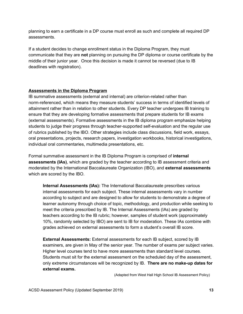planning to earn a certificate in a DP course must enroll as such and complete all required DP assessments.

If a student decides to change enrollment status in the Diploma Program, they must communicate that they are **not** planning on pursuing the DP diploma or course certificate by the middle of their junior year. Once this decision is made it cannot be reversed (due to IB deadlines with registration).

#### **Assessments in the Diploma Program**

IB summative assessments (external and internal) are criterion-related rather than norm-referenced, which means they measure students' success in terms of identified levels of attainment rather than in relation to other students. Every DP teacher undergoes IB training to ensure that they are developing formative assessments that prepare students for IB exams (external assessments). Formative assessments in the IB diploma program emphasize helping students to judge their progress through teacher-supported self-evaluation and the regular use of rubrics published by the IBO. Other strategies include class discussions, field work, essays, oral presentations, projects, research papers, investigation workbooks, historical investigations, individual oral commentaries, multimedia presentations, etc.

Formal summative assessment in the IB Diploma Program is comprised of **internal assessments (IAs)**, which are graded by the teacher according to IB assessment criteria and moderated by the International Baccalaureate Organization (IBO), and **external assessments** which are scored by the IBO.

**Internal Assessments (IAs):** The International Baccalaureate prescribes various internal assessments for each subject. These internal assessments vary in number according to subject and are designed to allow for students to demonstrate a degree of learner autonomy through choice of topic, methodology, and production while seeking to meet the criteria prescribed by IB. The Internal Assessments (IAs) are graded by teachers according to the IB rubric; however, samples of student work (approximately 10%, randomly selected by IBO) are sent to IB for moderation. These IAs combine with grades achieved on external assessments to form a student's overall IB score.

**External Assessments:** External assessments for each IB subject, scored by IB examiners, are given in May of the senior year. The number of exams per subject varies. Higher level courses tend to have more assessments than standard level courses. Students must sit for the external assessment on the scheduled day of the assessment, only extreme circumstances will be recognized by IB. **There are no make-up dates for external exams.**

(Adapted from West Hall High School IB Assessment Policy)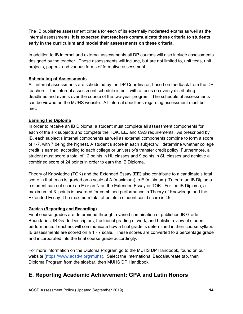The IB publishes assessment criteria for each of its externally moderated exams as well as the internal assessments. **It is expected that teachers communicate these criteria to students early in the curriculum and model their assessments on these criteria.**

In addition to IB internal and external assessments all DP courses will also include assessments designed by the teacher. These assessments will include, but are not limited to, unit tests, unit projects, papers, and various forms of formative assessment.

#### **Scheduling of Assessments**

All internal assessments are scheduled by the DP Coordinator, based on feedback from the DP teachers. The internal assessment schedule is built with a focus on evenly distributing deadlines and events over the course of the two-year program. The schedule of assessments can be viewed on the MUHS website. All internal deadlines regarding assessment must be met.

#### **Earning the Diploma**

In order to receive an IB Diploma, a student must complete all assessment components for each of the six subjects and complete the TOK, EE, and CAS requirements. As prescribed by IB, each subject's internal components as well as external components combine to form a score of 1-7, with 7 being the highest. A student's score in each subject will determine whether college credit is earned, according to each college or university's transfer credit policy. Furthermore, a student must score a total of 12 points in HL classes and 9 points in SL classes and achieve a combined score of 24 points in order to earn the IB Diploma.

Theory of Knowledge (TOK) and the Extended Essay (EE) also contribute to a candidate's total score in that each is graded on a scale of A (maximum) to E (minimum). To earn an IB Diploma a student can not score an E or an N on the Extended Essay or TOK. For the IB Diploma, a maximum of 3 points is awarded for combined performance in Theory of Knowledge and the Extended Essay. The maximum total of points a student could score is 45.

#### **Grades (Reporting and Recording)**

Final course grades are determined through a varied combination of published IB Grade Boundaries, IB Grade Descriptors, traditional grading of work, and holistic review of student performance. Teachers will communicate how a final grade is determined in their course syllabi. IB assessments are scored on a 1 - 7 scale. These scores are converted to a percentage grade and incorporated into the final course grade accordingly.

For more information on the Diploma Program go to the MUHS DP Handbook, found on our website (<https://www.acsdvt.org/muhs>). Select the International Baccalaureate tab, then Diploma Program from the sidebar, then MUHS DP Handbook.

### <span id="page-14-0"></span>**E. Reporting Academic Achievement: GPA and Latin Honors**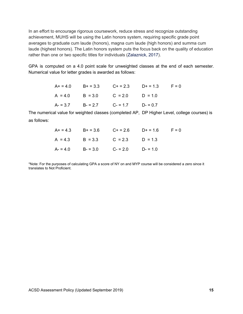In an effort to encourage rigorous coursework, reduce stress and recognize outstanding achievement, MUHS will be using the Latin honors system, requiring specific grade point averages to graduate cum laude (honors), magna cum laude (high honors) and summa cum laude (highest honors). The Latin honors system puts the focus back on the quality of education rather than one or two specific titles for individuals ([Zalaznick,](https://www.districtadministration.com/article/schools-try-remove-stress-class-rankings) 2017).

GPA is computed on a 4.0 point scale for unweighted classes at the end of each semester. Numerical value for letter grades is awarded as follows:

|  |                                         | $A+ = 4.0$ $B+ = 3.3$ $C+ = 2.3$ $D+ = 1.3$ $F = 0$ |  |
|--|-----------------------------------------|-----------------------------------------------------|--|
|  | $A = 4.0$ $B = 3.0$ $C = 2.0$ $D = 1.0$ |                                                     |  |
|  | $A = 3.7$ $B = 2.7$ $C = 1.7$ $D = 0.7$ |                                                     |  |

The numerical value for weighted classes (completed AP, DP Higher Level, college courses) is as follows:

|  | $A+ = 4.3$ $B+ = 3.6$ $C+ = 2.6$ $D+ = 1.6$ $F = 0$ |  |
|--|-----------------------------------------------------|--|
|  | $A = 4.3$ $B = 3.3$ $C = 2.3$ $D = 1.3$             |  |
|  | $A = 4.0$ $B = 3.0$ $C = 2.0$ $D = 1.0$             |  |

\*Note: For the purposes of calculating GPA a score of NY on and MYP course will be considered a zero since it translates to Not Proficient.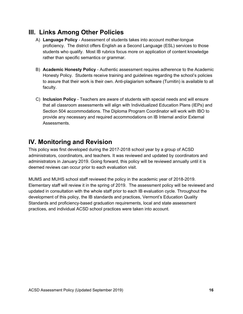### <span id="page-16-0"></span>**III. Links Among Other Policies**

- A) **Language Policy** Assessment of students takes into account mother-tongue proficiency. The district offers English as a Second Language (ESL) services to those students who qualify. Most IB rubrics focus more on application of content knowledge rather than specific semantics or grammar.
- B) **Academic Honesty Policy** Authentic assessment requires adherence to the Academic Honesty Policy. Students receive training and guidelines regarding the school's policies to assure that their work is their own. Anti-plagiarism software (Turnitin) is available to all faculty.
- C) **Inclusion Policy** Teachers are aware of students with special needs and will ensure that all classroom assessments will align with Individualized Education Plans (IEPs) and Section 504 accommodations. The Diploma Program Coordinator will work with IBO to provide any necessary and required accommodations on IB Internal and/or External Assessments.

# <span id="page-16-1"></span>**IV. Monitoring and Revision**

This policy was first developed during the 2017-2018 school year by a group of ACSD administrators, coordinators, and teachers. It was reviewed and updated by coordinators and administrators in January 2019. Going forward, this policy will be reviewed annually until it is deemed reviews can occur prior to each evaluation visit.

MUMS and MUHS school staff reviewed the policy in the academic year of 2018-2019. Elementary staff will review it in the spring of 2019. The assessment policy will be reviewed and updated in consultation with the whole staff prior to each IB evaluation cycle. Throughout the development of this policy, the IB standards and practices, Vermont's Education Quality Standards and proficiency-based graduation requirements, local and state assessment practices, and individual ACSD school practices were taken into account.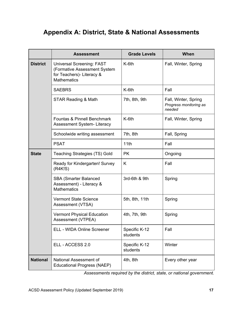# <span id="page-17-0"></span>**Appendix A: District, State & National Assessments**

|                 | <b>Assessment</b>                                                                                                   | <b>Grade Levels</b>       | When                                                     |
|-----------------|---------------------------------------------------------------------------------------------------------------------|---------------------------|----------------------------------------------------------|
| <b>District</b> | <b>Universal Screening: FAST</b><br>(Formative Assessment System<br>for Teachers)- Literacy &<br><b>Mathematics</b> | $K-6th$                   | Fall, Winter, Spring                                     |
|                 | <b>SAEBRS</b>                                                                                                       | K-6th                     | Fall                                                     |
|                 | STAR Reading & Math                                                                                                 | 7th, 8th, 9th             | Fall, Winter, Spring<br>Progress monitoring as<br>needed |
|                 | Fountas & Pinnell Benchmark<br>Assessment System-Literacy                                                           | K-6th                     | Fall, Winter, Spring                                     |
|                 | Schoolwide writing assessment                                                                                       | 7th, 8th                  | Fall, Spring                                             |
|                 | <b>PSAT</b>                                                                                                         | 11th                      | Fall                                                     |
| <b>State</b>    | <b>Teaching Strategies (TS) Gold</b>                                                                                | <b>PK</b>                 | Ongoing                                                  |
|                 | Ready for Kindergarten! Survey<br>(R4K!S)                                                                           | K                         | Fall                                                     |
|                 | <b>SBA (Smarter Balanced</b><br>Assessment) - Literacy &<br><b>Mathematics</b>                                      | 3rd-6th & 9th             | Spring                                                   |
|                 | <b>Vermont State Science</b><br>Assessment (VTSA)                                                                   | 5th, 8th, 11th            | Spring                                                   |
|                 | <b>Vermont Physical Education</b><br>Assessment (VTPEA)                                                             | 4th, 7th, 9th             | Spring                                                   |
|                 | ELL - WIDA Online Screener                                                                                          | Specific K-12<br>students | Fall                                                     |
|                 | ELL - ACCESS 2.0                                                                                                    | Specific K-12<br>students | Winter                                                   |
| <b>National</b> | National Assessment of<br><b>Educational Progress (NAEP)</b>                                                        | 4th, 8th                  | Every other year                                         |

*Assessments required by the district, state, or national government.*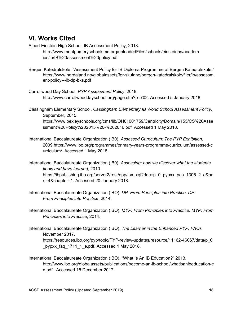## <span id="page-18-0"></span>**VI. [Works](#page-18-0) Cited**

Albert Einstein High School. IB Assessment Policy, 2018. http://www.montgomeryschoolsmd.org/uploadedFiles/schools/einsteinhs/academ ies/ib/IB%20assessment%20policy.pdf

- Bergen Katedralskole. "Assessment Policy for IB Diploma Programme at Bergen Katedralskole." <https://www.hordaland.no/globalassets/for-skulane/bergen-katedralskole/filer/ib/assessm> ent-policy---ib-dp-bks.pdf
- Carrollwood Day School. *PYP Assessment Policy*, 2018. [http://www.carrollwooddayschool.org/page.cfm?p=70](http://www.carrollwooddayschool.org/page.cfm?p=702)2. Accessed 5 January 2018.
- Cassingham Elementary School. *Cassingham Elementary IB World School Assessment Policy*, September, 2015. https://www.bexleyschools.org/cms/lib/OH01001759/Centricity/Domain/155/CS%20Asse ssment%20Policy%202015%20-%202016.pdf. Accessed 1 May 2018.
- International Baccalaureate Organization (IB0). *Assessed Curriculum: The PYP Exhibition,* 2009.https://www.ibo.org/programmes/primary-years-programme/curriculum/assessed-c urriculum/. Accessed 1 May 2018.
- International Baccalaureate Organization (IB0). *[Assessing:](https://ibpublishing.ibo.org/server2/rest/app/tsm.xql?doc=p_0_pypxx_mon_1305_2_e&part=4&chapter=1) how we discover what the students know and have [learned,](https://ibpublishing.ibo.org/server2/rest/app/tsm.xql?doc=p_0_pypxx_mon_1305_2_e&part=4&chapter=1)* 2010. https://ibpublishing.ibo.org/server2/rest/app/tsm.xql?doc=p\_0\_pypxx\_pas\_1305\_2\_e&pa rt=4&chapter=1. Accessed 20 January 2018.
- International Baccalaureate Organization (IBO). *DP: From Principles into Practice*. *DP: From Principles into Practice*, 2014.
- International Baccalaureate Organization (IBO). *MYP: From Principles into Practice*. *MYP: From Principles into Practice*, 2014.
- International Baccalaureate Organization (IBO). *The Learner in the Enhanced PYP: FAQs,* November 2017. https://resources.ibo.org/pyp/topic/PYP-review-updates/resource/11162-46067/data/p\_0 \_pypxx\_faq\_1711\_1\_e.pdf. Accessed 1 May 2018.
- International Baccalaureate Organization (IBO). "What Is An IB Education?" 2013. http://www.ibo.org/globalassets/publications/become-an-ib-school/whatisanibeducation-e n.pdf. Accessed 15 December 2017.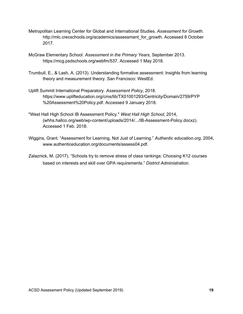- Metropolitan Learning Center for Global and International Studies. *Assessment for Growth*. http://mlc.crecschools.org/academics/assessment\_for\_growth. Accessed 8 October 2017.
- McGraw Elementary School. *Assessment in the Primary Years,* September 2013. https://mcg.psdschools.org/webfm/537. Accessed 1 May 2018.
- Trumbull, E., & Lash, A. (2013). Understanding formative assessment: Insights from learning theory and measurement theory. San Francisco: WestEd.
- Uplift Summit International Preparatory. *Assessment Policy*, 2018. https://www.uplifteducation.org/cms/lib/TX01001293/Centricity/Domain/2759/PYP %20Assessment%20Policy.pdf. Accessed 9 January 2018.
- "West Hall High School IB Assessment Policy." *West Hall High School*, 2014, (whhs.hallco.org/web/wp-content/uploads/2014/.../IB-Assessment-Policy.docxz). Accessed 1 Feb. 2018.
- Wiggins, Grant. "Assessment for Learning, Not Just of Learning." *Authentic education.org*, 2004, [www.authenticeducation.org/documents/assess04.pdf](http://www.authenticeducation.org/documents/assess04.pdf).
- Zalaznick, M. (2017). "Schools try to remove stress of class rankings: Choosing K12 courses based on interests and skill over GPA requirements." *District Administration*.